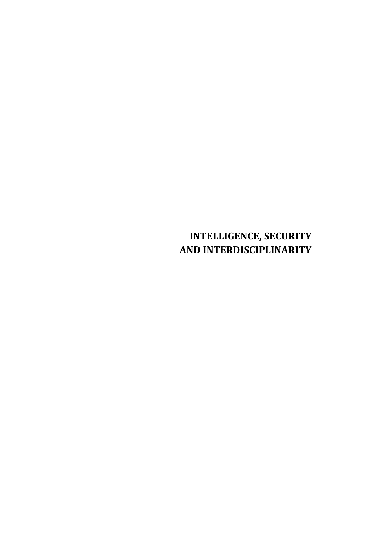# **INTELLIGENCE, SECURITY AND INTERDISCIPLINARITY**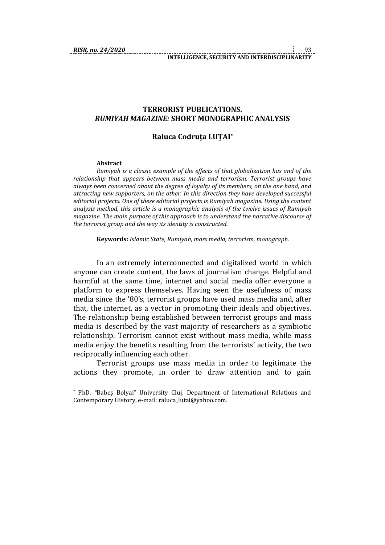#### **TERRORIST PUBLICATIONS.** *RUMIYAH MAGAZINE:* **SHORT MONOGRAPHIC ANALYSIS**

## **Raluca Codruța LUȚAI\***

#### **Abstract**

1

*Rumiyah is a classic example of the effects of that globalization has and of the relationship that appears between mass media and terrorism. Terrorist groups have always been concerned about the degree of loyalty of its members, on the one hand, and attracting new supporters, on the other. In this direction they have developed successful editorial projects. One of these editorial projects is Rumiyah magazine. Using the content analysis method, this article is a monographic analysis of the twelve issues of Rumiyah magazine. The main purpose of this approach is to understand the narrative discourse of the terrorist group and the way its identity is constructed.*

**Keywords:** *Islamic State, Rumiyah, mass media, terrorism, monograph.*

In an extremely interconnected and digitalized world in which anyone can create content, the laws of journalism change. Helpful and harmful at the same time, internet and social media offer everyone a platform to express themselves. Having seen the usefulness of mass media since the '80's, terrorist groups have used mass media and, after that, the internet, as a vector in promoting their ideals and objectives. The relationship being established between terrorist groups and mass media is described by the vast majority of researchers as a symbiotic relationship. Terrorism cannot exist without mass media, while mass media enjoy the benefits resulting from the terrorists' activity, the two reciprocally influencing each other.

Terrorist groups use mass media in order to legitimate the actions they promote, in order to draw attention and to gain

<sup>\*</sup> PhD. *"*Babeș Bolyai" University Cluj, Department of International Relations and Contemporary History, e-mail: raluca\_lutai@yahoo.com.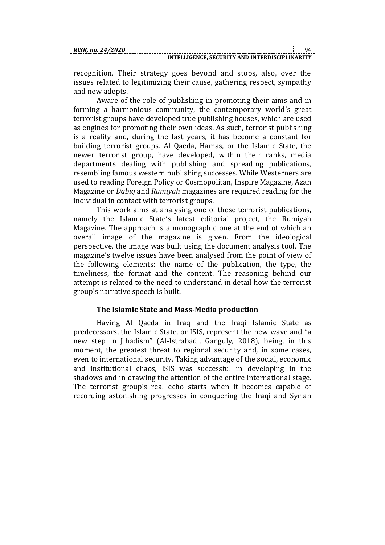recognition. Their strategy goes beyond and stops, also, over the issues related to legitimizing their cause, gathering respect, sympathy and new adepts.

Aware of the role of publishing in promoting their aims and in forming a harmonious community, the contemporary world's great terrorist groups have developed true publishing houses, which are used as engines for promoting their own ideas. As such, terrorist publishing is a reality and, during the last years, it has become a constant for building terrorist groups. Al Qaeda, Hamas, or the Islamic State, the newer terrorist group, have developed, within their ranks, media departments dealing with publishing and spreading publications, resembling famous western publishing successes. While Westerners are used to reading Foreign Policy or Cosmopolitan, Inspire Magazine, Azan Magazine or *Dabiq* and *Rumiyah* magazines are required reading for the individual in contact with terrorist groups.

This work aims at analysing one of these terrorist publications, namely the Islamic State's latest editorial project, the Rumiyah Magazine. The approach is a monographic one at the end of which an overall image of the magazine is given. From the ideological perspective, the image was built using the document analysis tool. The magazine's twelve issues have been analysed from the point of view of the following elements: the name of the publication, the type, the timeliness, the format and the content. The reasoning behind our attempt is related to the need to understand in detail how the terrorist group's narrative speech is built.

# **The Islamic State and Mass-Media production**

Having Al Qaeda in Iraq and the Iraqi Islamic State as predecessors, the Islamic State, or ISIS, represent the new wave and "a new step in Jihadism" (Al-Istrabadi, Ganguly, 2018), being, in this moment, the greatest threat to regional security and, in some cases, even to international security. Taking advantage of the social, economic and institutional chaos, ISIS was successful in developing in the shadows and in drawing the attention of the entire international stage. The terrorist group's real echo starts when it becomes capable of recording astonishing progresses in conquering the Iraqi and Syrian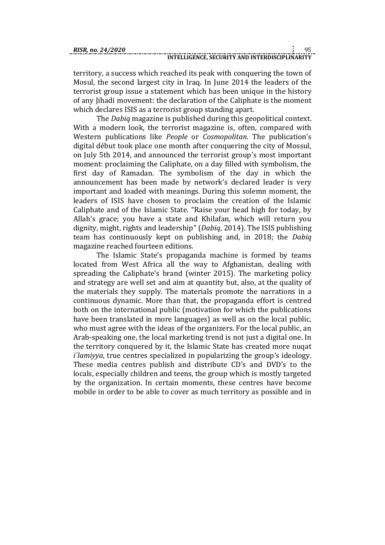territory, a success which reached its peak with conquering the town of Mosul, the second largest city in Iraq. In June 2014 the leaders of the terrorist group issue a statement which has been unique in the history of any Jihadi movement: the declaration of the Caliphate is the moment which declares ISIS as a terrorist group standing apart.

The *Dabiq* magazine is published during this geopolitical context. With a modern look, the terrorist magazine is, often, compared with Western publications like *People* or *Cosmopolitan*. The publication's digital début took place one month after conquering the city of Mossul, on July 5th 2014, and announced the terrorist group's most important moment: proclaiming the Caliphate, on a day filled with symbolism, the first day of Ramadan. The symbolism of the day in which the announcement has been made by network's declared leader is very important and loaded with meanings. During this solemn moment, the leaders of ISIS have chosen to proclaim the creation of the Islamic Caliphate and of the Islamic State. "Raise your head high for today, by Allah's grace; you have a state and Khilafan, which will return you dignity, might, rights and leadership" (*Dabiq*, 2014). The ISIS publishing team has continuously kept on publishing and, in 2018; the *Dabiq* magazine reached fourteen editions.

The Islamic State's propaganda machine is formed by teams located from West Africa all the way to Afghanistan, dealing with spreading the Caliphate's brand (winter 2015). The marketing policy and strategy are well set and aim at quantity but, also, at the quality of the materials they supply. The materials promote the narrations in a continuous dynamic. More than that, the propaganda effort is centred both on the international public (motivation for which the publications have been translated in more languages) as well as on the local public, who must agree with the ideas of the organizers. For the local public, an Arab-speaking one, the local marketing trend is not just a digital one. In the territory conquered by it, the Islamic State has created more nuqat *i`lamiyya,* true centres specialized in popularizing the group's ideology. These media centres publish and distribute CD's and DVD's to the locals, especially children and teens, the group which is mostly targeted by the organization. In certain moments, these centres have become mobile in order to be able to cover as much territory as possible and in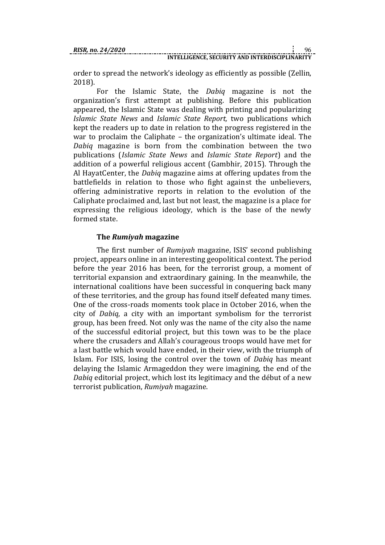order to spread the network's ideology as efficiently as possible (Zellin, 2018).

For the Islamic State, the *Dabiq* magazine is not the organization's first attempt at publishing. Before this publication appeared, the Islamic State was dealing with printing and popularizing *Islamic State News* and *Islamic State Report,* two publications which kept the readers up to date in relation to the progress registered in the war to proclaim the Caliphate – the organization's ultimate ideal. The *Dabiq* magazine is born from the combination between the two publications (*Islamic State News* and *Islamic State Report*) and the addition of a powerful religious accent (Gambhir, 2015). Through the Al HayatCenter, the *Dabiq* magazine aims at offering updates from the battlefields in relation to those who fight against the unbelievers, offering administrative reports in relation to the evolution of the Caliphate proclaimed and, last but not least, the magazine is a place for expressing the religious ideology, which is the base of the newly formed state.

# **The** *Rumiyah* **magazine**

The first number of *Rumiyah* magazine, ISIS' second publishing project, appears online in an interesting geopolitical context. The period before the year 2016 has been, for the terrorist group, a moment of territorial expansion and extraordinary gaining. In the meanwhile, the international coalitions have been successful in conquering back many of these territories, and the group has found itself defeated many times. One of the cross-roads moments took place in October 2016, when the city of *Dabiq*, a city with an important symbolism for the terrorist group, has been freed. Not only was the name of the city also the name of the successful editorial project, but this town was to be the place where the crusaders and Allah's courageous troops would have met for a last battle which would have ended, in their view, with the triumph of Islam. For ISIS, losing the control over the town of *Dabiq* has meant delaying the Islamic Armageddon they were imagining, the end of the *Dabiq* editorial project, which lost its legitimacy and the début of a new terrorist publication, *Rumiyah* magazine.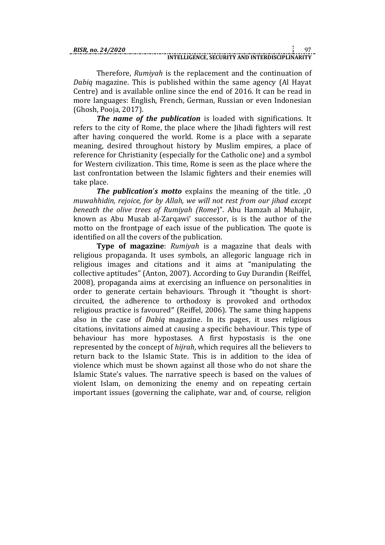Therefore, *Rumiyah* is the replacement and the continuation of *Dabiq* magazine. This is published within the same agency (Al Hayat Centre) and is available online since the end of 2016. It can be read in more languages: English, French, German, Russian or even Indonesian (Ghosh, Pooja, 2017).

*The name of the publication* is loaded with significations. It refers to the city of Rome, the place where the Jihadi fighters will rest after having conquered the world. Rome is a place with a separate meaning, desired throughout history by Muslim empires, a place of reference for Christianity (especially for the Catholic one) and a symbol for Western civilization. This time, Rome is seen as the place where the last confrontation between the Islamic fighters and their enemies will take place.

*The publication's motto* explains the meaning of the title. "O *muwahhidin, rejoice, for by Allah, we will not rest from our jihad except beneath the olive trees of Rumiyah (Rome*)". Abu Hamzah al Muhajir, known as Abu Musab al-Zarqawi' successor, is is the author of the motto on the frontpage of each issue of the publication. The quote is identified on all the covers of the publication.

**Type of magazine**: *Rumiyah* is a magazine that deals with religious propaganda. It uses symbols, an allegoric language rich in religious images and citations and it aims at "manipulating the collective aptitudes" (Anton, 2007). According to Guy Durandin (Reiffel, 2008), propaganda aims at exercising an influence on personalities in order to generate certain behaviours. Through it "thought is shortcircuited, the adherence to orthodoxy is provoked and orthodox religious practice is favoured" (Reiffel, 2006). The same thing happens also in the case of *Dabiq* magazine. In its pages, it uses religious citations, invitations aimed at causing a specific behaviour. This type of behaviour has more hypostases. A first hypostasis is the one represented by the concept of *hijrah*, which requires all the believers to return back to the Islamic State. This is in addition to the idea of violence which must be shown against all those who do not share the Islamic State's values. The narrative speech is based on the values of violent Islam, on demonizing the enemy and on repeating certain important issues (governing the caliphate, war and, of course, religion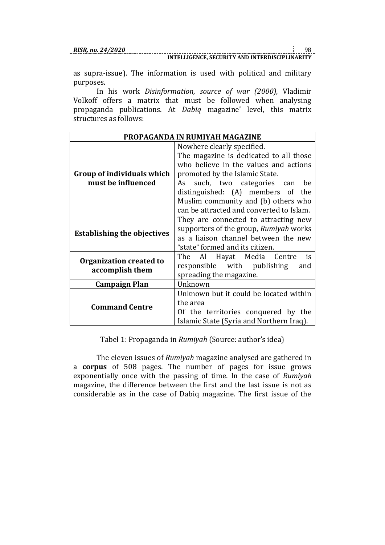as supra-issue). The information is used with political and military purposes.

In his work *Disinformation, source of war (2000),* Vladimir Volkoff offers a matrix that must be followed when analysing propaganda publications. At *Dabiq* magazine' level, this matrix structures as follows:

| PROPAGANDA IN RUMIYAH MAGAZINE                   |                                          |  |  |  |
|--------------------------------------------------|------------------------------------------|--|--|--|
|                                                  | Nowhere clearly specified.               |  |  |  |
|                                                  | The magazine is dedicated to all those   |  |  |  |
| Group of individuals which<br>must be influenced | who believe in the values and actions    |  |  |  |
|                                                  | promoted by the Islamic State.           |  |  |  |
|                                                  | such, two categories can<br>As<br>be     |  |  |  |
|                                                  | distinguished: (A) members of the        |  |  |  |
|                                                  | Muslim community and (b) others who      |  |  |  |
|                                                  | can be attracted and converted to Islam. |  |  |  |
| <b>Establishing the objectives</b>               | They are connected to attracting new     |  |  |  |
|                                                  | supporters of the group, Rumiyah works   |  |  |  |
|                                                  | as a liaison channel between the new     |  |  |  |
|                                                  | "state" formed and its citizen.          |  |  |  |
| Organization created to<br>accomplish them       | Al Hayat Media Centre<br>is<br>The       |  |  |  |
|                                                  | responsible with publishing<br>and       |  |  |  |
|                                                  | spreading the magazine.                  |  |  |  |
| Campaign Plan                                    | Unknown                                  |  |  |  |
| <b>Command Centre</b>                            | Unknown but it could be located within   |  |  |  |
|                                                  | the area                                 |  |  |  |
|                                                  | Of the territories conquered by the      |  |  |  |
|                                                  | Islamic State (Syria and Northern Iraq). |  |  |  |

Tabel 1: Propaganda in *Rumiyah* (Source: author's idea)

The eleven issues of *Rumiyah* magazine analysed are gathered in a **corpus** of 508 pages. The number of pages for issue grows exponentially once with the passing of time. In the case of *Rumiyah* magazine, the difference between the first and the last issue is not as considerable as in the case of Dabiq magazine. The first issue of the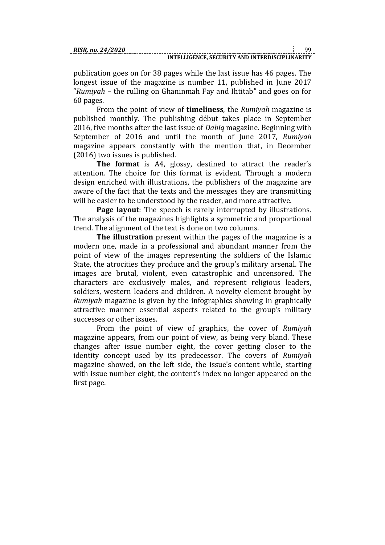publication goes on for 38 pages while the last issue has 46 pages. The longest issue of the magazine is number 11, published in June 2017 "*Rumiyah* – the rulling on Ghaninmah Fay and Ihtitab" and goes on for 60 pages.

From the point of view of **timeliness**, the *Rumiyah* magazine is published monthly. The publishing début takes place in September 2016, five months after the last issue of *Dabiq* magazine. Beginning with September of 2016 and until the month of June 2017, *Rumiyah* magazine appears constantly with the mention that, in December (2016) two issues is published.

**The format** is A4, glossy, destined to attract the reader's attention. The choice for this format is evident. Through a modern design enriched with illustrations, the publishers of the magazine are aware of the fact that the texts and the messages they are transmitting will be easier to be understood by the reader, and more attractive.

**Page layout**: The speech is rarely interrupted by illustrations. The analysis of the magazines highlights a symmetric and proportional trend. The alignment of the text is done on two columns.

**The illustration** present within the pages of the magazine is a modern one, made in a professional and abundant manner from the point of view of the images representing the soldiers of the Islamic State, the atrocities they produce and the group's military arsenal. The images are brutal, violent, even catastrophic and uncensored. The characters are exclusively males, and represent religious leaders, soldiers, western leaders and children. A novelty element brought by *Rumiyah* magazine is given by the infographics showing in graphically attractive manner essential aspects related to the group's military successes or other issues.

From the point of view of graphics, the cover of *Rumiyah*  magazine appears, from our point of view, as being very bland. These changes after issue number eight, the cover getting closer to the identity concept used by its predecessor. The covers of *Rumiyah*  magazine showed, on the left side, the issue's content while, starting with issue number eight, the content's index no longer appeared on the first page.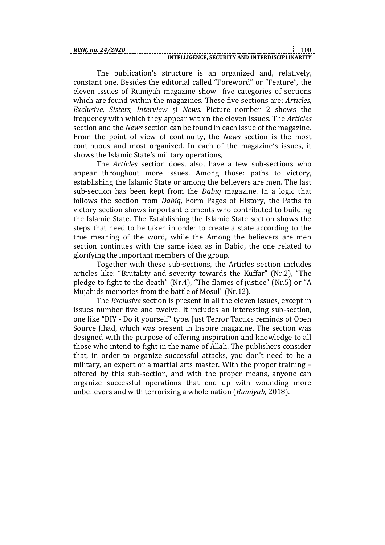The publication's structure is an organized and, relatively, constant one. Besides the editorial called "Foreword" or "Feature", the eleven issues of Rumiyah magazine show five categories of sections which are found within the magazines. These five sections are: *Articles, Exclusive, Sisters, Interview* și *News*. Picture nomber 2 shows the frequency with which they appear within the eleven issues. The *Articles* section and the *News* section can be found in each issue of the magazine. From the point of view of continuity, the *News* section is the most continuous and most organized. In each of the magazine's issues, it shows the Islamic State's military operations,

The *Articles* section does, also, have a few sub-sections who appear throughout more issues. Among those: paths to victory, establishing the Islamic State or among the believers are men. The last sub-section has been kept from the *Dabiq* magazine. In a logic that follows the section from *Dabiq*, Form Pages of History, the Paths to victory section shows important elements who contributed to building the Islamic State. The Establishing the Islamic State section shows the steps that need to be taken in order to create a state according to the true meaning of the word, while the Among the believers are men section continues with the same idea as in Dabiq, the one related to glorifying the important members of the group.

Together with these sub-sections, the Articles section includes articles like: "Brutality and severity towards the Kuffar" (Nr.2), "The pledge to fight to the death" (Nr.4), "The flames of justice" (Nr.5) or "A Mujahids memories from the battle of Mosul" (Nr.12).

The *Exclusive* section is present in all the eleven issues, except in issues number five and twelve. It includes an interesting sub-section, one like "DIY - Do it yourself" type. Just Terror Tactics reminds of Open Source Jihad, which was present in Inspire magazine. The section was designed with the purpose of offering inspiration and knowledge to all those who intend to fight in the name of Allah. The publishers consider that, in order to organize successful attacks, you don't need to be a military, an expert or a martial arts master. With the proper training – offered by this sub-section, and with the proper means, anyone can organize successful operations that end up with wounding more unbelievers and with terrorizing a whole nation (*Rumiyah,* 2018).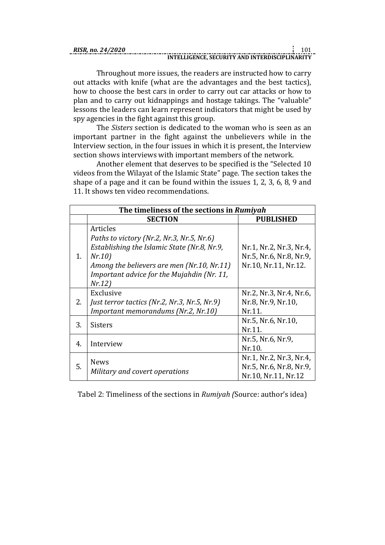| RISR. no. 24/2020 |                                                |  |
|-------------------|------------------------------------------------|--|
|                   | INTELLIGENCE, SECURITY AND INTERDISCIPLINARITY |  |

Throughout more issues, the readers are instructed how to carry out attacks with knife (what are the advantages and the best tactics), how to choose the best cars in order to carry out car attacks or how to plan and to carry out kidnappings and hostage takings. The "valuable" lessons the leaders can learn represent indicators that might be used by spy agencies in the fight against this group.

The *Sisters* section is dedicated to the woman who is seen as an important partner in the fight against the unbelievers while in the Interview section, in the four issues in which it is present, the Interview section shows interviews with important members of the network.

Another element that deserves to be specified is the "Selected 10 videos from the Wilayat of the Islamic State" page. The section takes the shape of a page and it can be found within the issues 1, 2, 3, 6, 8, 9 and 11. It shows ten video recommendations.

| The timeliness of the sections in Rumiyah |                                                                                                                                                                                                                     |                                                                            |  |  |
|-------------------------------------------|---------------------------------------------------------------------------------------------------------------------------------------------------------------------------------------------------------------------|----------------------------------------------------------------------------|--|--|
|                                           | <b>SECTION</b>                                                                                                                                                                                                      | <b>PUBLISHED</b>                                                           |  |  |
| 1.                                        | Articles<br>Paths to victory (Nr.2, Nr.3, Nr.5, Nr.6)<br>Establishing the Islamic State (Nr.8, Nr.9,<br>Nr.10<br>Among the believers are men (Nr.10, Nr.11)<br>Important advice for the Mujahdin (Nr. 11,<br>Nr.12) | Nr.1, Nr.2, Nr.3, Nr.4,<br>Nr.5, Nr.6, Nr.8, Nr.9,<br>Nr.10, Nr.11, Nr.12. |  |  |
| 2.                                        | Exclusive<br>Just terror tactics (Nr.2, Nr.3, Nr.5, Nr.9)<br>Important memorandums (Nr.2, Nr.10)                                                                                                                    | Nr.2, Nr.3, Nr.4, Nr.6,<br>Nr.8, Nr.9, Nr.10,<br>Nr.11.                    |  |  |
| 3.                                        | <b>Sisters</b>                                                                                                                                                                                                      | Nr.5, Nr.6, Nr.10,<br>Nr.11.                                               |  |  |
| 4.                                        | Interview                                                                                                                                                                                                           | Nr.5, Nr.6, Nr.9,<br>Nr.10.                                                |  |  |
| 5.                                        | <b>News</b><br>Military and covert operations                                                                                                                                                                       | Nr.1, Nr.2, Nr.3, Nr.4,<br>Nr.5, Nr.6, Nr.8, Nr.9,<br>Nr.10, Nr.11, Nr.12  |  |  |

Tabel 2: Timeliness of the sections in *Rumiyah (*Source: author's idea)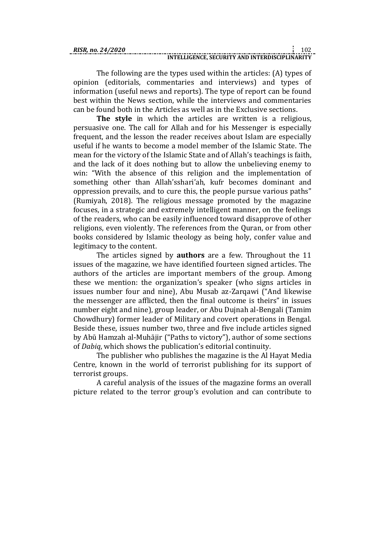| RISR. no. 24/2020 |                                                |  |
|-------------------|------------------------------------------------|--|
|                   | INTELLIGENCE, SECURITY AND INTERDISCIPLINARITY |  |

The following are the types used within the articles: (A) types of opinion (editorials, commentaries and interviews) and types of information (useful news and reports). The type of report can be found best within the News section, while the interviews and commentaries can be found both in the Articles as well as in the Exclusive sections.

**The style** in which the articles are written is a religious, persuasive one. The call for Allah and for his Messenger is especially frequent, and the lesson the reader receives about Islam are especially useful if he wants to become a model member of the Islamic State. The mean for the victory of the Islamic State and of Allah's teachings is faith, and the lack of it does nothing but to allow the unbelieving enemy to win: "With the absence of this religion and the implementation of something other than Allah'sshari'ah, kufr becomes dominant and oppression prevails, and to cure this, the people pursue various paths" (Rumiyah, 2018). The religious message promoted by the magazine focuses, in a strategic and extremely intelligent manner, on the feelings of the readers, who can be easily influenced toward disapprove of other religions, even violently. The references from the Quran, or from other books considered by Islamic theology as being holy, confer value and legitimacy to the content.

The articles signed by **authors** are a few. Throughout the 11 issues of the magazine, we have identified fourteen signed articles. The authors of the articles are important members of the group. Among these we mention: the organization's speaker (who signs articles in issues number four and nine), Abu Musab az-Zarqawi ("And likewise the messenger are afflicted, then the final outcome is theirs" in issues number eight and nine), group leader, or Abu Dujnah al-Bengali (Tamim Chowdhury) former leader of Military and covert operations in Bengal. Beside these, issues number two, three and five include articles signed by Abū Hamzah al-Muhājir ("Paths to victory"), author of some sections of *Dabiq*, which shows the publication's editorial continuity.

The publisher who publishes the magazine is the Al Hayat Media Centre, known in the world of terrorist publishing for its support of terrorist groups.

A careful analysis of the issues of the magazine forms an overall picture related to the terror group's evolution and can contribute to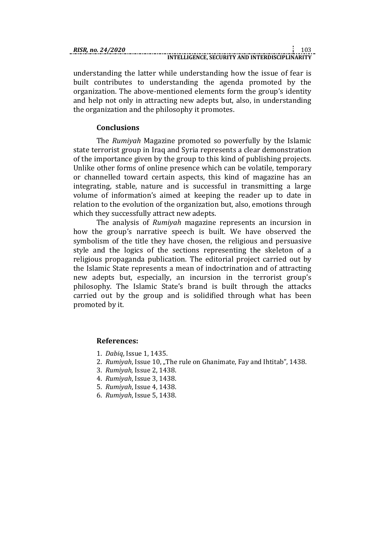understanding the latter while understanding how the issue of fear is built contributes to understanding the agenda promoted by the organization. The above-mentioned elements form the group's identity and help not only in attracting new adepts but, also, in understanding the organization and the philosophy it promotes.

## **Conclusions**

The *Rumiyah* Magazine promoted so powerfully by the Islamic state terrorist group in Iraq and Syria represents a clear demonstration of the importance given by the group to this kind of publishing projects. Unlike other forms of online presence which can be volatile, temporary or channelled toward certain aspects, this kind of magazine has an integrating, stable, nature and is successful in transmitting a large volume of information's aimed at keeping the reader up to date in relation to the evolution of the organization but, also, emotions through which they successfully attract new adepts.

The analysis of *Rumiyah* magazine represents an incursion in how the group's narrative speech is built. We have observed the symbolism of the title they have chosen, the religious and persuasive style and the logics of the sections representing the skeleton of a religious propaganda publication. The editorial project carried out by the Islamic State represents a mean of indoctrination and of attracting new adepts but, especially, an incursion in the terrorist group's philosophy. The Islamic State's brand is built through the attacks carried out by the group and is solidified through what has been promoted by it.

#### **References:**

- 1. *Dabiq*, Issue 1, 1435.
- 2. *Rumiyah*, Issue 10, "The rule on Ghanimate, Fay and Ihtitab", 1438.
- 3. *Rumiyah,* Issue 2, 1438.
- 4. *Rumiyah*, Issue 3, 1438.
- 5. *Rumiyah*, Issue 4, 1438.
- 6. *Rumiyah*, Issue 5, 1438.